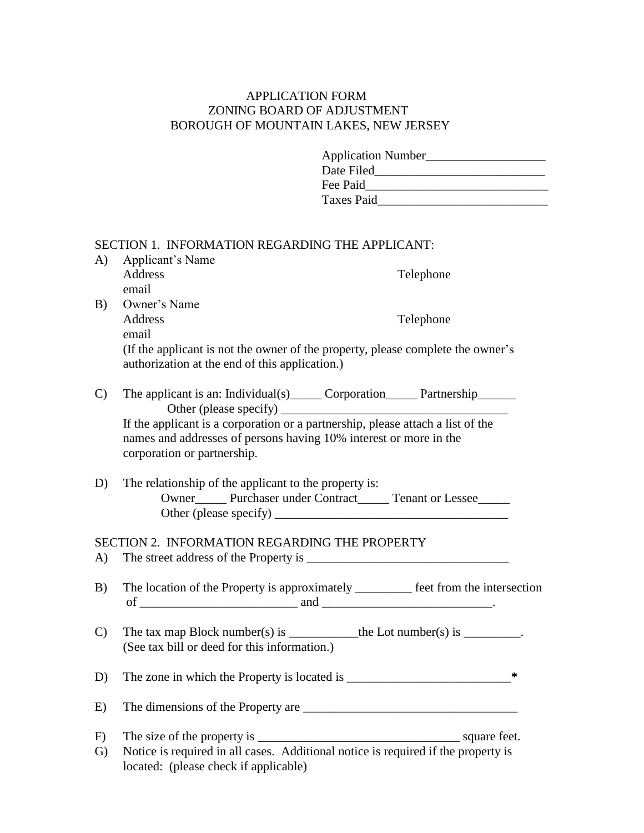## APPLICATION FORM ZONING BOARD OF ADJUSTMENT BOROUGH OF MOUNTAIN LAKES, NEW JERSEY

| <b>Application Number</b> |  |
|---------------------------|--|
| Date Filed                |  |
| Fee Paid                  |  |
| Taxes Paid                |  |

| A)            | SECTION 1. INFORMATION REGARDING THE APPLICANT:<br>Applicant's Name                                                                                                                 |   |
|---------------|-------------------------------------------------------------------------------------------------------------------------------------------------------------------------------------|---|
|               | <b>Address</b><br>Telephone<br>email                                                                                                                                                |   |
| B)            | Owner's Name<br>Address<br>Telephone                                                                                                                                                |   |
|               | email<br>(If the applicant is not the owner of the property, please complete the owner's<br>authorization at the end of this application.)                                          |   |
| $\mathcal{C}$ | The applicant is an: Individual(s) _______ Corporation _______ Partnership _______                                                                                                  |   |
|               | If the applicant is a corporation or a partnership, please attach a list of the<br>names and addresses of persons having 10% interest or more in the<br>corporation or partnership. |   |
| D)            | The relationship of the applicant to the property is:<br>Owner  ______ Purchaser under Contract  _____ Tenant or Lessee  ______                                                     |   |
|               | SECTION 2. INFORMATION REGARDING THE PROPERTY                                                                                                                                       |   |
| A)            |                                                                                                                                                                                     |   |
| B)            | The location of the Property is approximately _________ feet from the intersection                                                                                                  |   |
| $\mathcal{C}$ | The tax map Block number(s) is ______________the Lot number(s) is __________.<br>(See tax bill or deed for this information.)                                                       |   |
| D)            |                                                                                                                                                                                     | ∗ |
| E)            |                                                                                                                                                                                     |   |
| F)            |                                                                                                                                                                                     |   |
| $\mathbf{G}$  | Notice is required in all cases. Additional notice is required if the property is                                                                                                   |   |

located: (please check if applicable)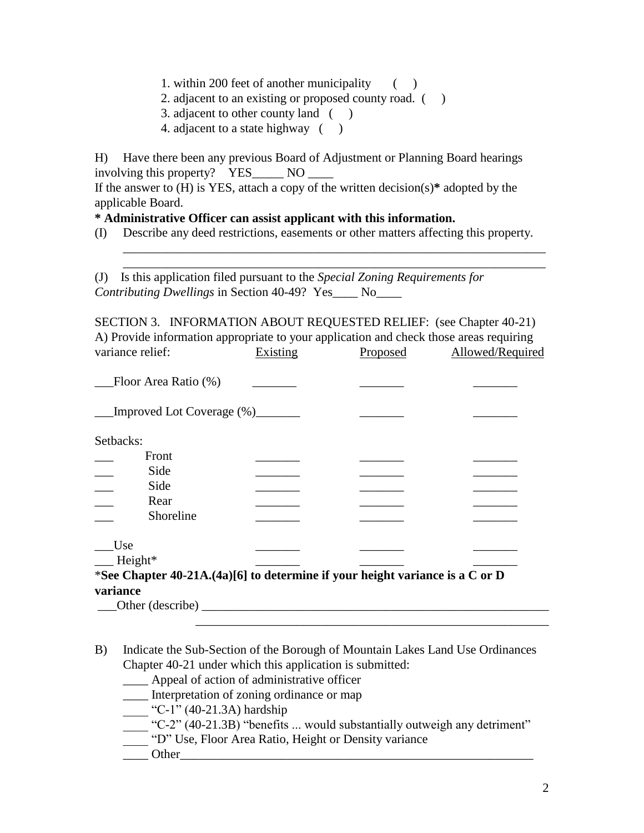- 1. within 200 feet of another municipality ( )
- 2. adjacent to an existing or proposed county road.  $($ )
- 3. adjacent to other county land ( )
- 4. adjacent to a state highway ()

H) Have there been any previous Board of Adjustment or Planning Board hearings involving this property? YES\_\_\_\_\_\_ NO

If the answer to (H) is YES, attach a copy of the written decision(s)**\*** adopted by the applicable Board.

### **\* Administrative Officer can assist applicant with this information.**

(I) Describe any deed restrictions, easements or other matters affecting this property.

\_\_\_\_\_\_\_\_\_\_\_\_\_\_\_\_\_\_\_\_\_\_\_\_\_\_\_\_\_\_\_\_\_\_\_\_\_\_\_\_\_\_\_\_\_\_\_\_\_\_\_\_\_\_\_\_\_\_\_\_\_\_\_\_\_\_\_ \_\_\_\_\_\_\_\_\_\_\_\_\_\_\_\_\_\_\_\_\_\_\_\_\_\_\_\_\_\_\_\_\_\_\_\_\_\_\_\_\_\_\_\_\_\_\_\_\_\_\_\_\_\_\_\_\_\_\_\_\_\_\_\_\_\_\_

(J) Is this application filed pursuant to the *Special Zoning Requirements for Contributing Dwellings* in Section 40-49? Yes\_\_\_\_ No\_\_\_\_

SECTION 3. INFORMATION ABOUT REQUESTED RELIEF: (see Chapter 40-21) A) Provide information appropriate to your application and check those areas requiring variance relief: Existing Proposed Allowed/Required

| Floor Area Ratio (%)                                                         |  |  |
|------------------------------------------------------------------------------|--|--|
| Improved Lot Coverage (%)                                                    |  |  |
| Setbacks:                                                                    |  |  |
| Front                                                                        |  |  |
| Side                                                                         |  |  |
| Side                                                                         |  |  |
| Rear                                                                         |  |  |
| Shoreline                                                                    |  |  |
| Use                                                                          |  |  |
| $-$ Height <sup>*</sup>                                                      |  |  |
| *See Chapter 40-21A.(4a)[6] to determine if your height variance is a C or D |  |  |
| variance                                                                     |  |  |
| Other (describe)                                                             |  |  |

B) Indicate the Sub-Section of the Borough of Mountain Lakes Land Use Ordinances Chapter 40-21 under which this application is submitted:

\_\_\_\_\_\_\_\_\_\_\_\_\_\_\_\_\_\_\_\_\_\_\_\_\_\_\_\_\_\_\_\_\_\_\_\_\_\_\_\_\_\_\_\_\_\_\_\_\_\_\_\_\_\_\_\_

- \_\_\_\_ Appeal of action of administrative officer
- Interpretation of zoning ordinance or map
- $C-1$ " (40-21.3A) hardship
- $\frac{1}{2}$  "C-2" (40-21.3B) "benefits ... would substantially outweigh any detriment"
- <sup>-</sup> "D" Use, Floor Area Ratio, Height or Density variance
- Other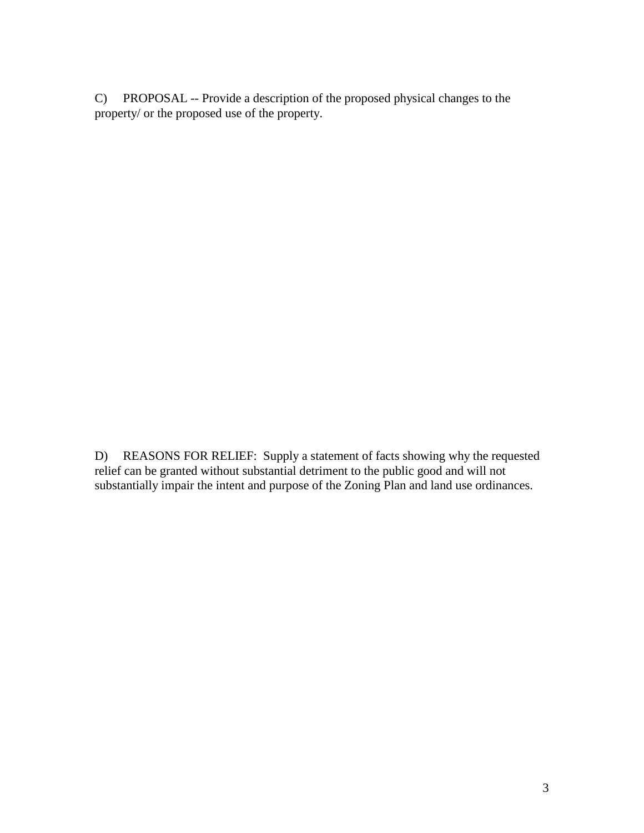C) PROPOSAL -- Provide a description of the proposed physical changes to the property/ or the proposed use of the property.

D) REASONS FOR RELIEF: Supply a statement of facts showing why the requested relief can be granted without substantial detriment to the public good and will not substantially impair the intent and purpose of the Zoning Plan and land use ordinances.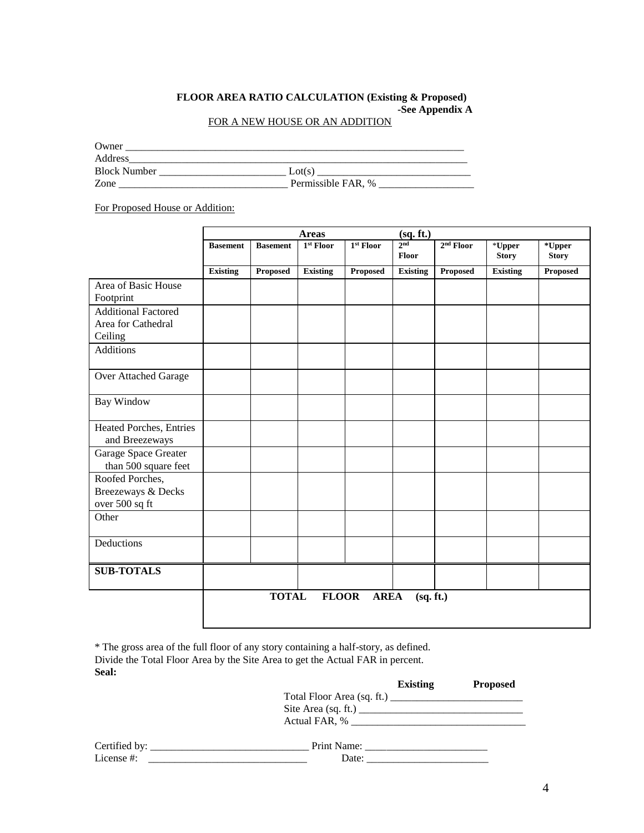#### **FLOOR AREA RATIO CALCULATION (Existing & Proposed) -See Appendix A** FOR A NEW HOUSE OR AN ADDITION

Owner \_\_\_\_\_\_\_\_\_\_\_\_\_\_\_\_\_\_\_\_\_\_\_\_\_\_\_\_\_\_\_\_\_\_\_\_\_\_\_\_\_\_\_\_\_\_\_\_\_\_\_\_\_\_\_\_\_\_\_\_\_\_\_\_ Block Number \_\_\_\_\_\_\_\_\_\_\_\_\_\_\_\_\_\_\_\_\_\_\_\_ Lot(s) \_\_\_\_\_\_\_\_\_\_\_\_\_\_\_\_\_\_\_\_\_\_\_\_\_\_\_\_\_ Zone \_\_\_\_\_\_\_\_\_\_\_\_\_\_\_\_\_\_\_\_\_\_\_\_\_\_\_\_\_\_\_\_ Permissible FAR, % \_\_\_\_\_\_\_\_\_\_\_\_\_\_\_\_\_\_

For Proposed House or Addition:

|                                              |                 |                 | <b>Areas</b>    |             | (sq. ft.)                |             |                 |                        |
|----------------------------------------------|-----------------|-----------------|-----------------|-------------|--------------------------|-------------|-----------------|------------------------|
|                                              | <b>Basement</b> | <b>Basement</b> | 1st Floor       | 1st Floor   | 2 <sub>nd</sub><br>Floor | $2nd$ Floor | $*$ Upper       | *Upper<br><b>Story</b> |
|                                              |                 |                 |                 |             |                          |             | <b>Story</b>    |                        |
|                                              | <b>Existing</b> | <b>Proposed</b> | <b>Existing</b> | Proposed    | <b>Existing</b>          | Proposed    | <b>Existing</b> | Proposed               |
| Area of Basic House                          |                 |                 |                 |             |                          |             |                 |                        |
| Footprint                                    |                 |                 |                 |             |                          |             |                 |                        |
| <b>Additional Factored</b>                   |                 |                 |                 |             |                          |             |                 |                        |
| Area for Cathedral                           |                 |                 |                 |             |                          |             |                 |                        |
| Ceiling                                      |                 |                 |                 |             |                          |             |                 |                        |
| <b>Additions</b>                             |                 |                 |                 |             |                          |             |                 |                        |
| Over Attached Garage                         |                 |                 |                 |             |                          |             |                 |                        |
| Bay Window                                   |                 |                 |                 |             |                          |             |                 |                        |
| Heated Porches, Entries<br>and Breezeways    |                 |                 |                 |             |                          |             |                 |                        |
| Garage Space Greater<br>than 500 square feet |                 |                 |                 |             |                          |             |                 |                        |
| Roofed Porches,                              |                 |                 |                 |             |                          |             |                 |                        |
| Breezeways & Decks                           |                 |                 |                 |             |                          |             |                 |                        |
| over 500 sq ft                               |                 |                 |                 |             |                          |             |                 |                        |
| Other                                        |                 |                 |                 |             |                          |             |                 |                        |
| Deductions                                   |                 |                 |                 |             |                          |             |                 |                        |
| <b>SUB-TOTALS</b>                            |                 |                 |                 |             |                          |             |                 |                        |
|                                              |                 | <b>TOTAL</b>    | <b>FLOOR</b>    | <b>AREA</b> | (sq. ft.)                |             |                 |                        |
|                                              |                 |                 |                 |             |                          |             |                 |                        |

\* The gross area of the full floor of any story containing a half-story, as defined. Divide the Total Floor Area by the Site Area to get the Actual FAR in percent. **Seal:**

|            | <b>Existing</b>                                                                                                                                                                                                                | <b>Proposed</b> |
|------------|--------------------------------------------------------------------------------------------------------------------------------------------------------------------------------------------------------------------------------|-----------------|
|            | Total Floor Area (sq. ft.) $\frac{1}{2}$                                                                                                                                                                                       |                 |
|            |                                                                                                                                                                                                                                |                 |
|            |                                                                                                                                                                                                                                |                 |
| License #: | Date: the contract of the contract of the contract of the contract of the contract of the contract of the contract of the contract of the contract of the contract of the contract of the contract of the contract of the cont |                 |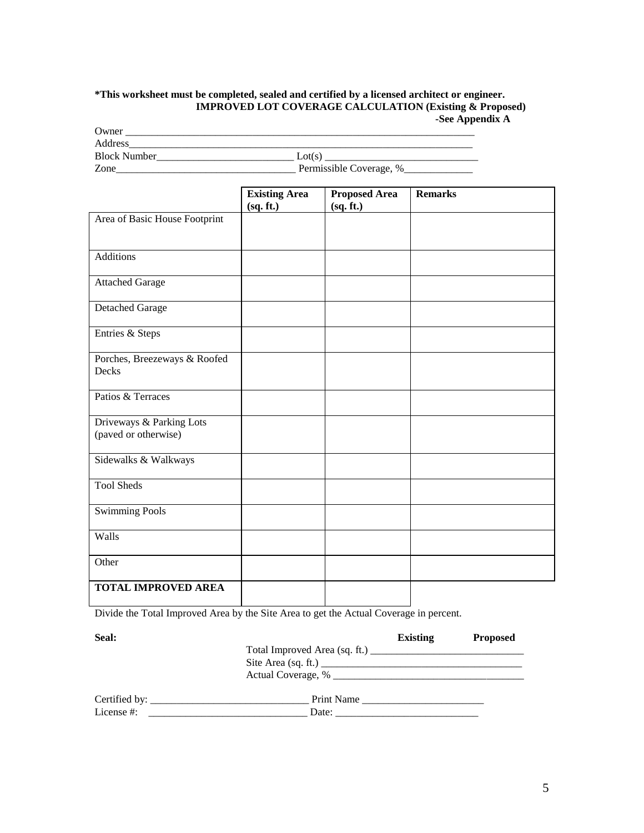#### **\*This worksheet must be completed, sealed and certified by a licensed architect or engineer. IMPROVED LOT COVERAGE CALCULATION (Existing & Proposed) -See Appendix A**

| Owner)              |                              |
|---------------------|------------------------------|
| Address             |                              |
| <b>Block Number</b> | $_{\rm \sim tot(S^{\prime}}$ |
| Zone                | Permissible Coverage, %      |

|                               | <b>Existing Area</b> | <b>Proposed Area</b> | <b>Remarks</b> |
|-------------------------------|----------------------|----------------------|----------------|
|                               | (sq. ft.)            | (gq. ft.)            |                |
| Area of Basic House Footprint |                      |                      |                |
| <b>Additions</b>              |                      |                      |                |
| <b>Attached Garage</b>        |                      |                      |                |
| Detached Garage               |                      |                      |                |
| Entries & Steps               |                      |                      |                |
| Porches, Breezeways & Roofed  |                      |                      |                |
| Decks                         |                      |                      |                |
| Patios & Terraces             |                      |                      |                |
| Driveways & Parking Lots      |                      |                      |                |
| (paved or otherwise)          |                      |                      |                |
| Sidewalks & Walkways          |                      |                      |                |
| <b>Tool Sheds</b>             |                      |                      |                |
| <b>Swimming Pools</b>         |                      |                      |                |
| Walls                         |                      |                      |                |
| Other                         |                      |                      |                |
| <b>TOTAL IMPROVED AREA</b>    |                      |                      |                |

Divide the Total Improved Area by the Site Area to get the Actual Coverage in percent.

| <b>Seal:</b>                    |            | <b>Existing</b> | <b>Proposed</b> |
|---------------------------------|------------|-----------------|-----------------|
|                                 |            |                 |                 |
|                                 |            |                 |                 |
|                                 |            |                 |                 |
| Certified by: _________________ | Print Name |                 |                 |
| License #:                      |            |                 |                 |
|                                 |            |                 |                 |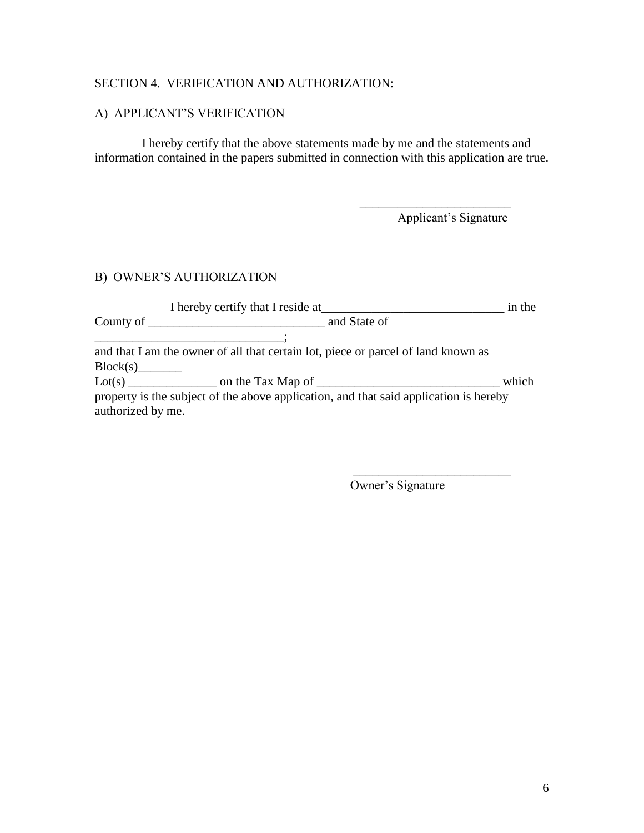## SECTION 4. VERIFICATION AND AUTHORIZATION:

# A) APPLICANT'S VERIFICATION

I hereby certify that the above statements made by me and the statements and information contained in the papers submitted in connection with this application are true.

Applicant's Signature

\_\_\_\_\_\_\_\_\_\_\_\_\_\_\_\_\_\_\_\_\_\_\_\_

# B) OWNER'S AUTHORIZATION

|                   | I hereby certify that I reside at                                                     | in the |
|-------------------|---------------------------------------------------------------------------------------|--------|
|                   |                                                                                       |        |
|                   |                                                                                       |        |
|                   | and that I am the owner of all that certain lot, piece or parcel of land known as     |        |
| Block(s)          |                                                                                       |        |
|                   |                                                                                       | which  |
|                   | property is the subject of the above application, and that said application is hereby |        |
| authorized by me. |                                                                                       |        |

Owner's Signature

 $\frac{1}{2}$  ,  $\frac{1}{2}$  ,  $\frac{1}{2}$  ,  $\frac{1}{2}$  ,  $\frac{1}{2}$  ,  $\frac{1}{2}$  ,  $\frac{1}{2}$  ,  $\frac{1}{2}$  ,  $\frac{1}{2}$  ,  $\frac{1}{2}$  ,  $\frac{1}{2}$  ,  $\frac{1}{2}$  ,  $\frac{1}{2}$  ,  $\frac{1}{2}$  ,  $\frac{1}{2}$  ,  $\frac{1}{2}$  ,  $\frac{1}{2}$  ,  $\frac{1}{2}$  ,  $\frac{1$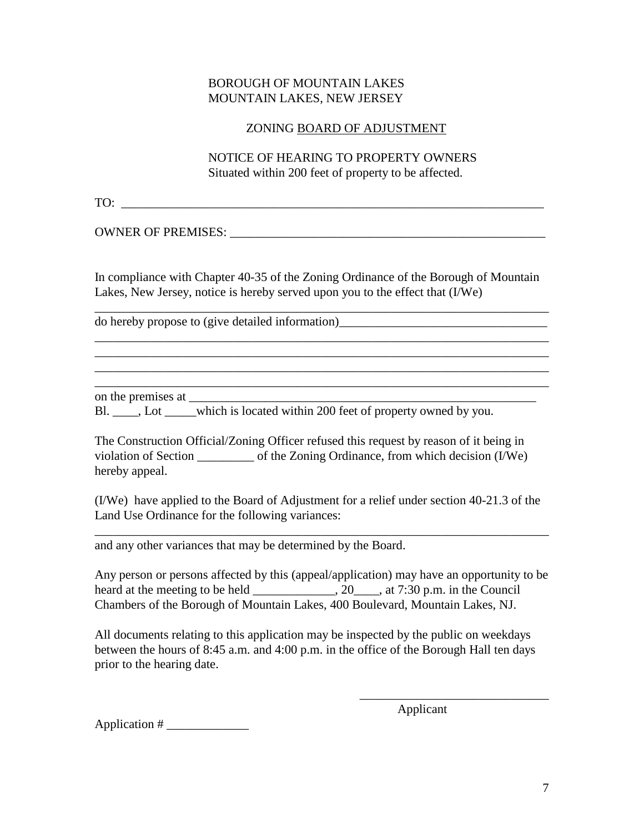## BOROUGH OF MOUNTAIN LAKES MOUNTAIN LAKES, NEW JERSEY

### ZONING BOARD OF ADJUSTMENT

NOTICE OF HEARING TO PROPERTY OWNERS Situated within 200 feet of property to be affected.

TO: \_\_\_\_\_\_\_\_\_\_\_\_\_\_\_\_\_\_\_\_\_\_\_\_\_\_\_\_\_\_\_\_\_\_\_\_\_\_\_\_\_\_\_\_\_\_\_\_\_\_\_\_\_\_\_\_\_\_\_\_\_\_\_\_\_\_\_

OWNER OF PREMISES: \_\_\_\_\_\_\_\_\_\_\_\_\_\_\_\_\_\_\_\_\_\_\_\_\_\_\_\_\_\_\_\_\_\_\_\_\_\_\_\_\_\_\_\_\_\_\_\_\_\_

In compliance with Chapter 40-35 of the Zoning Ordinance of the Borough of Mountain Lakes, New Jersey, notice is hereby served upon you to the effect that (I/We)

\_\_\_\_\_\_\_\_\_\_\_\_\_\_\_\_\_\_\_\_\_\_\_\_\_\_\_\_\_\_\_\_\_\_\_\_\_\_\_\_\_\_\_\_\_\_\_\_\_\_\_\_\_\_\_\_\_\_\_\_\_\_\_\_\_\_\_\_\_\_\_\_

\_\_\_\_\_\_\_\_\_\_\_\_\_\_\_\_\_\_\_\_\_\_\_\_\_\_\_\_\_\_\_\_\_\_\_\_\_\_\_\_\_\_\_\_\_\_\_\_\_\_\_\_\_\_\_\_\_\_\_\_\_\_\_\_\_\_\_\_\_\_\_\_ \_\_\_\_\_\_\_\_\_\_\_\_\_\_\_\_\_\_\_\_\_\_\_\_\_\_\_\_\_\_\_\_\_\_\_\_\_\_\_\_\_\_\_\_\_\_\_\_\_\_\_\_\_\_\_\_\_\_\_\_\_\_\_\_\_\_\_\_\_\_\_\_ \_\_\_\_\_\_\_\_\_\_\_\_\_\_\_\_\_\_\_\_\_\_\_\_\_\_\_\_\_\_\_\_\_\_\_\_\_\_\_\_\_\_\_\_\_\_\_\_\_\_\_\_\_\_\_\_\_\_\_\_\_\_\_\_\_\_\_\_\_\_\_\_ \_\_\_\_\_\_\_\_\_\_\_\_\_\_\_\_\_\_\_\_\_\_\_\_\_\_\_\_\_\_\_\_\_\_\_\_\_\_\_\_\_\_\_\_\_\_\_\_\_\_\_\_\_\_\_\_\_\_\_\_\_\_\_\_\_\_\_\_\_\_\_\_

do hereby propose to (give detailed information)\_\_\_\_\_\_\_\_\_\_\_\_\_\_\_\_\_\_\_\_\_\_\_\_\_\_\_\_\_\_\_\_\_

on the premises at

Bl.  $\Box$ , Lot which is located within 200 feet of property owned by you.

The Construction Official/Zoning Officer refused this request by reason of it being in violation of Section \_\_\_\_\_\_\_\_\_ of the Zoning Ordinance, from which decision (I/We) hereby appeal.

(I/We) have applied to the Board of Adjustment for a relief under section 40-21.3 of the Land Use Ordinance for the following variances:

\_\_\_\_\_\_\_\_\_\_\_\_\_\_\_\_\_\_\_\_\_\_\_\_\_\_\_\_\_\_\_\_\_\_\_\_\_\_\_\_\_\_\_\_\_\_\_\_\_\_\_\_\_\_\_\_\_\_\_\_\_\_\_\_\_\_\_\_\_\_\_\_

and any other variances that may be determined by the Board.

Any person or persons affected by this (appeal/application) may have an opportunity to be heard at the meeting to be held \_\_\_\_\_\_\_\_\_\_\_\_\_, 20\_\_\_\_, at 7:30 p.m. in the Council Chambers of the Borough of Mountain Lakes, 400 Boulevard, Mountain Lakes, NJ.

All documents relating to this application may be inspected by the public on weekdays between the hours of 8:45 a.m. and 4:00 p.m. in the office of the Borough Hall ten days prior to the hearing date.

Applicant

\_\_\_\_\_\_\_\_\_\_\_\_\_\_\_\_\_\_\_\_\_\_\_\_\_\_\_\_\_\_

Application  $#_2$